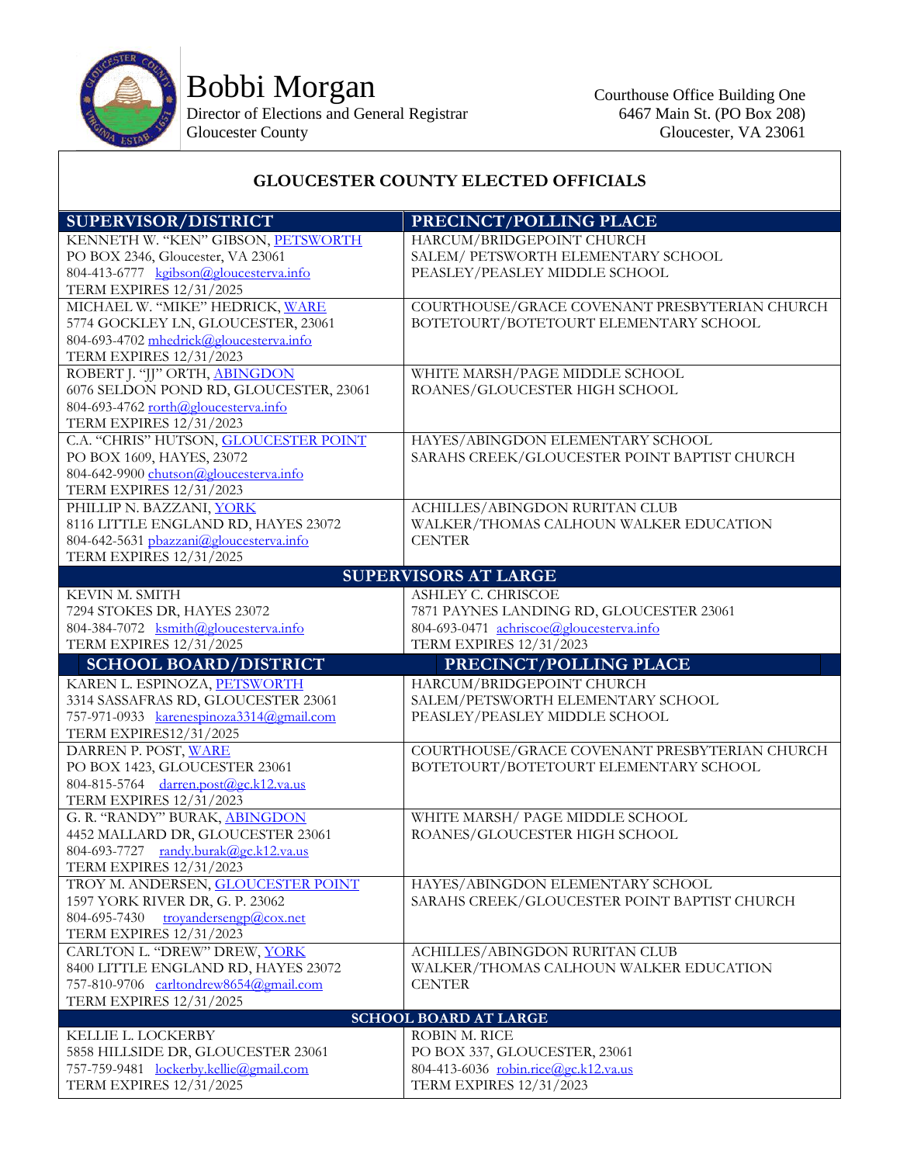

Bobbi Morgan

Director of Elections and General Registrar Gloucester County

## **GLOUCESTER COUNTY ELECTED OFFICIALS**

| <b>SUPERVISOR/DISTRICT</b>                                               | PRECINCT/POLLING PLACE                                                 |  |
|--------------------------------------------------------------------------|------------------------------------------------------------------------|--|
| KENNETH W. "KEN" GIBSON, PETSWORTH                                       | HARCUM/BRIDGEPOINT CHURCH                                              |  |
| PO BOX 2346, Gloucester, VA 23061                                        | SALEM/ PETSWORTH ELEMENTARY SCHOOL                                     |  |
| 804-413-6777 kgibson@gloucesterva.info                                   | PEASLEY/PEASLEY MIDDLE SCHOOL                                          |  |
| <b>TERM EXPIRES 12/31/2025</b>                                           |                                                                        |  |
| MICHAEL W. "MIKE" HEDRICK, WARE                                          | COURTHOUSE/GRACE COVENANT PRESBYTERIAN CHURCH                          |  |
| 5774 GOCKLEY LN, GLOUCESTER, 23061                                       | BOTETOURT/BOTETOURT ELEMENTARY SCHOOL                                  |  |
| 804-693-4702 mhedrick@gloucesterva.info                                  |                                                                        |  |
| <b>TERM EXPIRES 12/31/2023</b>                                           |                                                                        |  |
| ROBERT J. "JJ" ORTH, ABINGDON                                            | WHITE MARSH/PAGE MIDDLE SCHOOL                                         |  |
| 6076 SELDON POND RD, GLOUCESTER, 23061                                   | ROANES/GLOUCESTER HIGH SCHOOL                                          |  |
| 804-693-4762 rorth@gloucesterva.info                                     |                                                                        |  |
| TERM EXPIRES 12/31/2023<br>C.A. "CHRIS" HUTSON, GLOUCESTER POINT         | HAYES/ABINGDON ELEMENTARY SCHOOL                                       |  |
| PO BOX 1609, HAYES, 23072                                                | SARAHS CREEK/GLOUCESTER POINT BAPTIST CHURCH                           |  |
| 804-642-9900 chutson@gloucesterva.info                                   |                                                                        |  |
| TERM EXPIRES 12/31/2023                                                  |                                                                        |  |
| PHILLIP N. BAZZANI, YORK                                                 | <b>ACHILLES/ABINGDON RURITAN CLUB</b>                                  |  |
| 8116 LITTLE ENGLAND RD, HAYES 23072                                      | WALKER/THOMAS CALHOUN WALKER EDUCATION                                 |  |
| 804-642-5631 pbazzani@gloucesterva.info                                  | <b>CENTER</b>                                                          |  |
| <b>TERM EXPIRES 12/31/2025</b>                                           |                                                                        |  |
|                                                                          | <b>SUPERVISORS AT LARGE</b>                                            |  |
| KEVIN M. SMITH                                                           | ASHLEY C. CHRISCOE                                                     |  |
| 7294 STOKES DR, HAYES 23072                                              | 7871 PAYNES LANDING RD, GLOUCESTER 23061                               |  |
| 804-384-7072 ksmith@gloucesterva.info                                    | 804-693-0471 achriscoe@gloucesterva.info                               |  |
| <b>TERM EXPIRES 12/31/2025</b>                                           | TERM EXPIRES 12/31/2023                                                |  |
|                                                                          | PRECINCT/POLLING PLACE                                                 |  |
|                                                                          |                                                                        |  |
| <b>SCHOOL BOARD/DISTRICT</b>                                             |                                                                        |  |
| KAREN L. ESPINOZA, PETSWORTH                                             | HARCUM/BRIDGEPOINT CHURCH                                              |  |
| 3314 SASSAFRAS RD, GLOUCESTER 23061                                      | SALEM/PETSWORTH ELEMENTARY SCHOOL                                      |  |
| 757-971-0933 karenespinoza3314@gmail.com<br>TERM EXPIRES12/31/2025       | PEASLEY/PEASLEY MIDDLE SCHOOL                                          |  |
| DARREN P. POST, WARE                                                     | COURTHOUSE/GRACE COVENANT PRESBYTERIAN CHURCH                          |  |
| PO BOX 1423, GLOUCESTER 23061                                            | BOTETOURT/BOTETOURT ELEMENTARY SCHOOL                                  |  |
| 804-815-5764 darren.post@gc.k12.va.us                                    |                                                                        |  |
| TERM EXPIRES 12/31/2023                                                  |                                                                        |  |
| G. R. "RANDY" BURAK, ABINGDON                                            | WHITE MARSH/PAGE MIDDLE SCHOOL                                         |  |
| 4452 MALLARD DR, GLOUCESTER 23061                                        | ROANES/GLOUCESTER HIGH SCHOOL                                          |  |
| 804-693-7727 randy.burak@gc.k12.va.us                                    |                                                                        |  |
| TERM EXPIRES 12/31/2023                                                  |                                                                        |  |
| TROY M. ANDERSEN, GLOUCESTER POINT                                       | HAYES/ABINGDON ELEMENTARY SCHOOL                                       |  |
| 1597 YORK RIVER DR, G. P. 23062                                          | SARAHS CREEK/GLOUCESTER POINT BAPTIST CHURCH                           |  |
| 804-695-7430<br>trovandersengp@cox.net                                   |                                                                        |  |
| <b>TERM EXPIRES 12/31/2023</b>                                           |                                                                        |  |
| CARLTON L. "DREW" DREW, YORK                                             | ACHILLES/ABINGDON RURITAN CLUB                                         |  |
| 8400 LITTLE ENGLAND RD, HAYES 23072                                      | WALKER/THOMAS CALHOUN WALKER EDUCATION                                 |  |
| 757-810-9706 carltondrew8654@gmail.com                                   | <b>CENTER</b>                                                          |  |
| <b>TERM EXPIRES 12/31/2025</b>                                           |                                                                        |  |
|                                                                          | <b>SCHOOL BOARD AT LARGE</b>                                           |  |
| KELLIE L. LOCKERBY                                                       | ROBIN M. RICE                                                          |  |
| 5858 HILLSIDE DR, GLOUCESTER 23061                                       | PO BOX 337, GLOUCESTER, 23061                                          |  |
| 757-759-9481 lockerby.kellie@gmail.com<br><b>TERM EXPIRES 12/31/2025</b> | 804-413-6036 robin.rice@gc.k12.va.us<br><b>TERM EXPIRES 12/31/2023</b> |  |